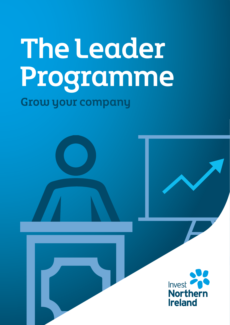# The Leader Programme Grow your company

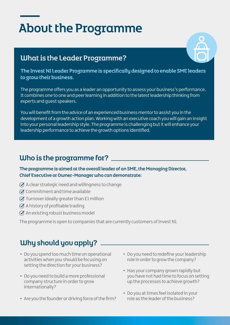# About the Programme

### What is the Leader Programme?



The Invest NI Leader Programme is specifically designed to enable SME leaders to grow their business.

The programme offers you as a leader an opportunity to assess your business's performance. It combines one to one and peer learning in addition to the latest leadership thinking from experts and guest speakers.

You will benefit from the advice of an experienced business mentor to assist you in the development of a growth action plan. Working with an executive coach you will gain an insight into your personal leadership style. The programme is challenging but it will enhance your leadership performance to achieve the growth options identified.

### Who is the programme for?

The programme is aimed at the overall leader of an SME, the Managing Director, Chief Executive or Owner-Manager who can demonstrate:

- $\oslash$  A clear strategic need and willingness to change
- $\oslash$  Commitment and time available
- $\oslash$  Turnover ideally greater than £1 million
- $\oslash$  A history of profitable trading
- $\oslash$  An existing robust business model

The programme is open to companies that are currently customers of Invest NI.

# Why should you apply?

- Do you spend too much time on operational activities when you should be focusing on setting the direction for your business?
- Do you need to build a more professional company structure in order to grow internationally?
- Are you the founder or driving force of the firm?
- Do you need to redefine your leadership role in order to grow the company?
- Has your company grown rapidly but you have not had time to focus on setting up the processes to achieve growth?
- Do you at times feel isolated in your role as the leader of the business?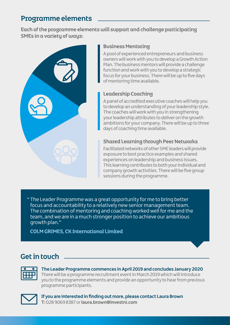### Programme elements

Each of the programme elements will support and challenge participating SMEs in a variety of ways:



#### Business Mentoring

A pool of experienced entrepreneurs and business owners will work with you to develop a Growth Action Plan. The business mentors will provide a challenge function and work with you to develop a strategic focus for your business. There will be up to five days of mentoring time available.

#### Leadership Coaching

A panel of accredited executive coaches will help you to develop an understanding of your leadership style. The coaches will work with you in strengthening your leadership attributes to deliver on the growth ambitions for your company. There will be up to three days of coaching time available.

#### Shared Learning through Peer Networks

Facilitated networks of other SME leaders will provide exposure to best practice examples and shared experiences on leadership and business issues. This learning contributes to both your individual and company growth activities. There will be five group sessions during the programme.

" The Leader Programme was a great opportunity for me to bring better focus and accountability to a relatively new senior management team. The combination of mentoring and coaching worked well for me and the team, and we are in a much stronger position to achieve our ambitious growth plan."

COLM GRIMES, CK International Limited

# Get in touch



**The Leader Programme commences in April 2019 and concludes January 2020** There will be a programme recruitment event in March 2019 which will introduce you to the programme elements and provide an opportunity to hear from previous programme participants.



**If you are interested in finding out more, please contact Laura Brown T:** 028 9069 8387 or **laura.brown@investni.com**